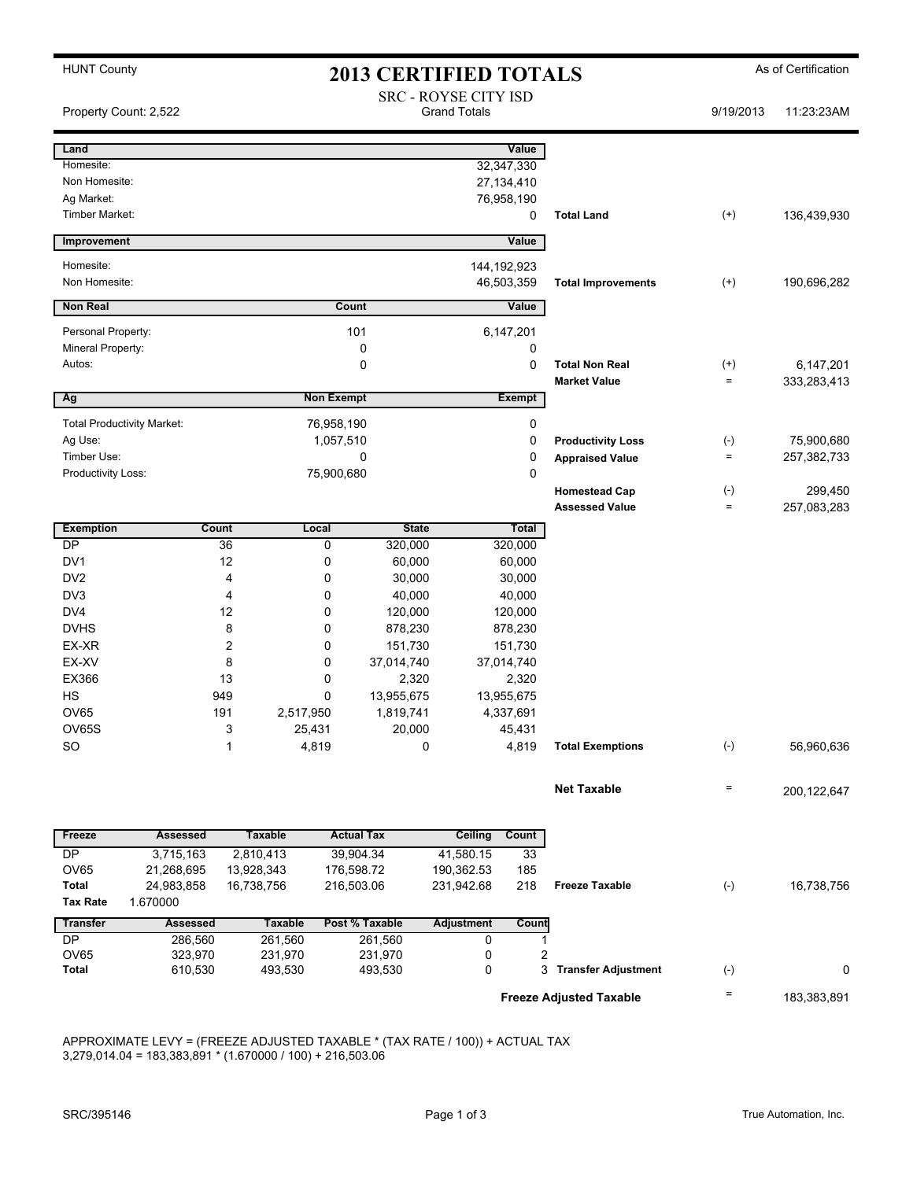| <b>HUNT County</b>                 |                                   | <b>2013 CERTIFIED TOTALS</b> |                                                    |                        |                  |                            |              | As of Certification |  |
|------------------------------------|-----------------------------------|------------------------------|----------------------------------------------------|------------------------|------------------|----------------------------|--------------|---------------------|--|
| Property Count: 2,522              |                                   |                              | <b>SRC - ROYSE CITY ISD</b><br><b>Grand Totals</b> |                        |                  |                            | 9/19/2013    | 11:23:23AM          |  |
| Land                               |                                   |                              |                                                    |                        | Value            |                            |              |                     |  |
| Homesite:                          |                                   |                              |                                                    |                        | 32,347,330       |                            |              |                     |  |
| Non Homesite:                      |                                   |                              |                                                    |                        | 27, 134, 410     |                            |              |                     |  |
| Ag Market:                         |                                   |                              |                                                    |                        | 76,958,190       |                            |              |                     |  |
| Timber Market:                     |                                   |                              |                                                    |                        | 0                | <b>Total Land</b>          | $^{(+)}$     | 136,439,930         |  |
| Improvement                        |                                   |                              |                                                    |                        | Value            |                            |              |                     |  |
| Homesite:                          |                                   |                              |                                                    |                        | 144, 192, 923    |                            |              |                     |  |
| Non Homesite:                      |                                   |                              |                                                    |                        | 46,503,359       | <b>Total Improvements</b>  | $^{(+)}$     | 190,696,282         |  |
| <b>Non Real</b>                    |                                   | Count                        |                                                    | Value                  |                  |                            |              |                     |  |
| Personal Property:                 |                                   |                              | 101                                                |                        | 6,147,201        |                            |              |                     |  |
| Mineral Property:                  |                                   |                              | 0                                                  |                        | 0                |                            |              |                     |  |
| Autos:                             |                                   |                              | 0                                                  |                        | 0                | <b>Total Non Real</b>      | $^{(+)}$     | 6,147,201           |  |
| Ag                                 |                                   |                              | <b>Non Exempt</b>                                  |                        | <b>Exempt</b>    | <b>Market Value</b>        | $\equiv$     | 333,283,413         |  |
|                                    | <b>Total Productivity Market:</b> |                              | 76,958,190                                         |                        |                  |                            |              |                     |  |
| Ag Use:                            |                                   |                              |                                                    |                        | 0<br>0           | <b>Productivity Loss</b>   | $(\text{-})$ | 75,900,680          |  |
| Timber Use:                        |                                   |                              | 1,057,510<br>0                                     |                        | 0                | <b>Appraised Value</b>     | $\equiv$     | 257,382,733         |  |
| Productivity Loss:                 |                                   |                              | 75,900,680                                         |                        | 0                |                            |              |                     |  |
|                                    |                                   |                              |                                                    |                        |                  | <b>Homestead Cap</b>       | $(\cdot)$    | 299,450             |  |
|                                    |                                   |                              |                                                    |                        |                  | <b>Assessed Value</b>      | $\equiv$     | 257,083,283         |  |
| <b>Exemption</b>                   |                                   | <b>Count</b>                 | <b>State</b><br>Local                              |                        | <b>Total</b>     |                            |              |                     |  |
| $\overline{DP}$                    |                                   | 36                           | 0<br>320,000                                       |                        | 320,000          |                            |              |                     |  |
| DV <sub>1</sub><br>DV <sub>2</sub> |                                   | 12<br>4                      | 0<br>60,000<br>30,000                              |                        | 60,000<br>30,000 |                            |              |                     |  |
| DV3                                |                                   | 4                            | 0<br>0<br>40,000                                   |                        | 40,000           |                            |              |                     |  |
| DV4                                |                                   | 12                           | 0<br>120,000                                       |                        | 120,000          |                            |              |                     |  |
| <b>DVHS</b>                        |                                   | 8                            | 878,230<br>0                                       |                        | 878,230          |                            |              |                     |  |
| EX-XR                              |                                   | $\overline{2}$               | 151,730<br>0                                       |                        | 151,730          |                            |              |                     |  |
| EX-XV                              |                                   | 8                            | 37,014,740<br>0                                    |                        | 37,014,740       |                            |              |                     |  |
| EX366                              |                                   | 13                           | 0                                                  | 2,320<br>2,320         |                  |                            |              |                     |  |
| <b>HS</b>                          |                                   | 949                          | 13,955,675<br>0                                    |                        | 13,955,675       |                            |              |                     |  |
| <b>OV65</b>                        |                                   | 191<br>2,517,950             | 1,819,741                                          |                        | 4,337,691        |                            |              |                     |  |
| OV65S                              |                                   | 3                            | 25,431                                             | 20,000<br>45,431       |                  |                            |              |                     |  |
| SO.                                |                                   | $\mathbf{1}$                 | 4,819                                              | 0                      | 4,819            | <b>Total Exemptions</b>    | $(-)$        | 56,960,636          |  |
|                                    |                                   |                              |                                                    |                        |                  | <b>Net Taxable</b>         | $\equiv$     |                     |  |
|                                    |                                   |                              |                                                    |                        |                  |                            |              | 200,122,647         |  |
| Freeze                             | <b>Assessed</b>                   | <b>Taxable</b>               | <b>Actual Tax</b>                                  | Ceiling                | Count            |                            |              |                     |  |
| DP                                 | 3,715,163                         | 2,810,413                    | 39,904.34                                          | 41,580.15              | 33               |                            |              |                     |  |
| <b>OV65</b>                        | 21,268,695                        | 13,928,343                   | 176,598.72                                         | 190,362.53             | 185              |                            |              |                     |  |
| <b>Total</b>                       | 24,983,858                        | 16,738,756                   | 216,503.06                                         | 231,942.68             | 218              | <b>Freeze Taxable</b>      | $(-)$        | 16,738,756          |  |
| <b>Tax Rate</b>                    | 1.670000                          |                              |                                                    |                        |                  |                            |              |                     |  |
| <b>Transfer</b><br><b>DP</b>       | <b>Assessed</b><br>286,560        | <b>Taxable</b><br>261,560    | Post % Taxable<br>261,560                          | <b>Adjustment</b><br>0 | Count<br>1       |                            |              |                     |  |
| OV65                               | 323,970                           | 231,970                      | 231,970                                            | 0                      | 2                |                            |              |                     |  |
| <b>Total</b>                       | 610,530                           | 493,530                      | 493,530                                            | 0                      | 3                | <b>Transfer Adjustment</b> | $(\text{-})$ | 0                   |  |
| <b>Freeze Adjusted Taxable</b>     |                                   |                              |                                                    |                        |                  | $\equiv$                   | 183,383,891  |                     |  |
|                                    |                                   |                              |                                                    |                        |                  |                            |              |                     |  |

APPROXIMATE LEVY = (FREEZE ADJUSTED TAXABLE \* (TAX RATE / 100)) + ACTUAL TAX 3,279,014.04 = 183,383,891 \* (1.670000 / 100) + 216,503.06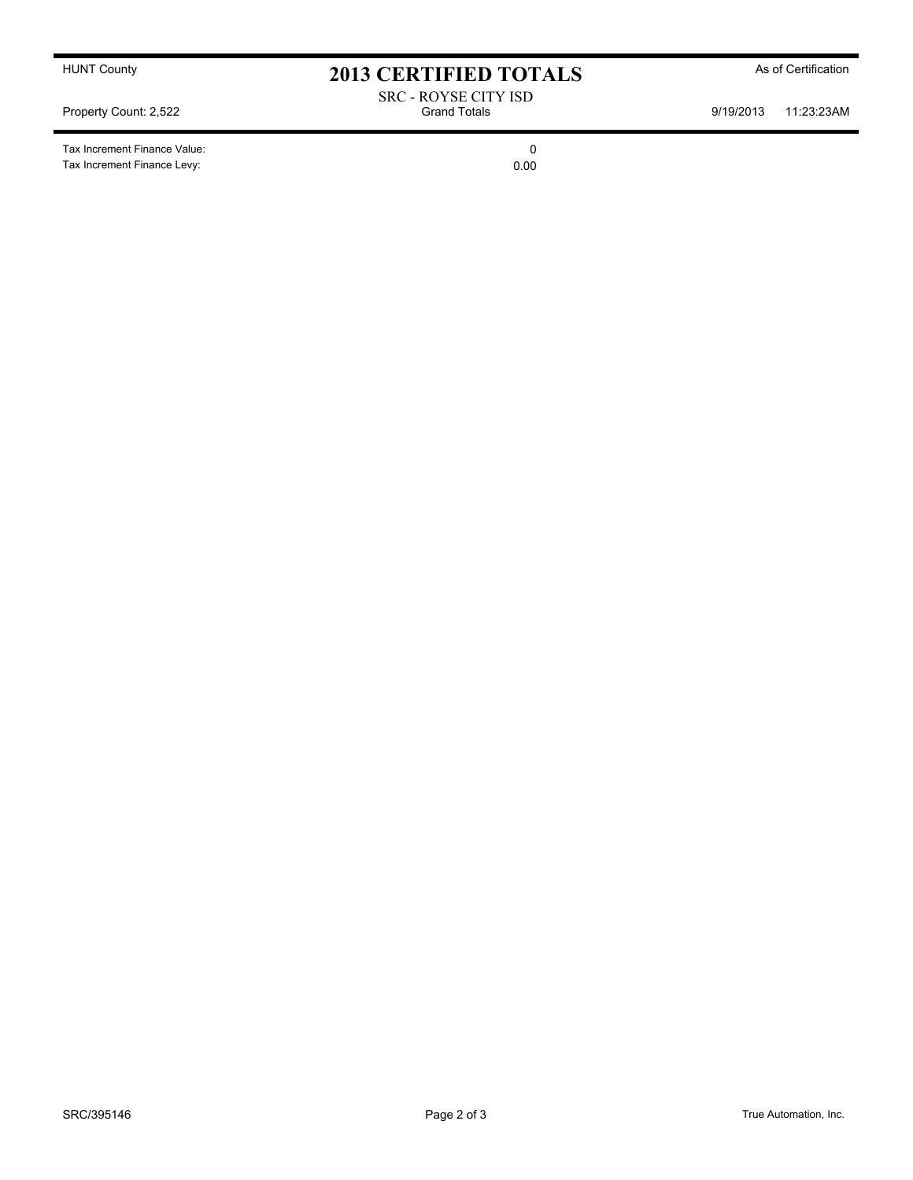Tax Increment Finance Value: 0 Tax Increment Finance Levy: 0.00

HUNT County **As of Certification 2013 CERTIFIED TOTALS** As of Certification

SRC - ROYSE CITY ISD Property Count: 2,522 **State of Connect Acts** Grand Totals **9/19/2013** 11:23:23AM